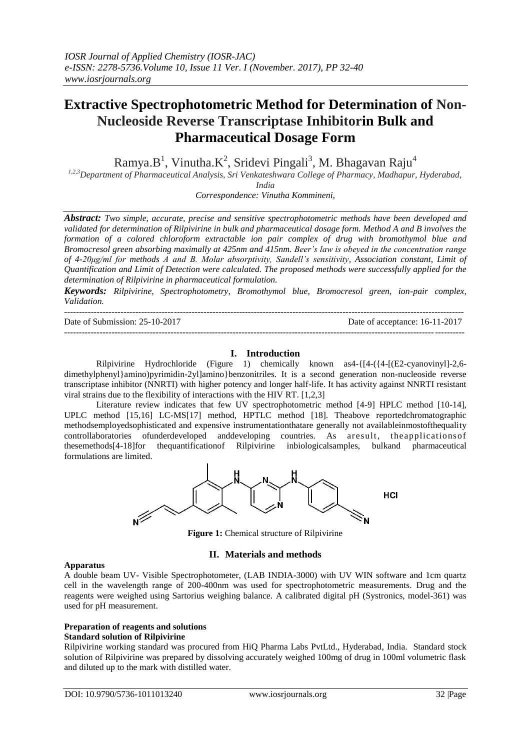# **Extractive Spectrophotometric Method for Determination of Non-Nucleoside Reverse Transcriptase Inhibitorin Bulk and Pharmaceutical Dosage Form**

Ramya.B<sup>1</sup>, Vinutha.K<sup>2</sup>, Sridevi Pingali<sup>3</sup>, M. Bhagavan Raju<sup>4</sup>

*1,2,3Department of Pharmaceutical Analysis, Sri Venkateshwara College of Pharmacy, Madhapur, Hyderabad,* 

*India*

*Correspondence: Vinutha Kommineni,*

*Abstract: Two simple, accurate, precise and sensitive spectrophotometric methods have been developed and validated for determination of Rilpivirine in bulk and pharmaceutical dosage form. Method A and B involves the formation of a colored chloroform extractable ion pair complex of drug with bromothymol blue and Bromocresol green absorbing maximally at 425nm and 415nm. Beer's law is obeyed in the concentration range of 4-20μg/ml for methods A and B. Molar absorptivity, Sandell's sensitivity, Association constant, Limit of Quantification and Limit of Detection were calculated. The proposed methods were successfully applied for the determination of Rilpivirine in pharmaceutical formulation.*

*Keywords: Rilpivirine, Spectrophotometry, Bromothymol blue, Bromocresol green, ion-pair complex, Validation.*

| Date of Submission: $25-10-2017$ | Date of acceptance: 16-11-2017 |
|----------------------------------|--------------------------------|
|                                  |                                |

# **I. Introduction**

Rilpivirine Hydrochloride (Figure 1) chemically known as4-{[4-({4-[(E2-cyanovinyl]-2,6 dimethylphenyl}amino)pyrimidin-2yl]amino}benzonitriles. It is a second generation non-nucleoside reverse transcriptase inhibitor (NNRTI) with higher potency and longer half-life. It has activity against NNRTI resistant viral strains due to the flexibility of interactions with the HIV RT. [1,2,3]

Literature review indicates that few UV spectrophotometric method [4-9] HPLC method [10-14], UPLC method [15,16] LC-MS[17] method, HPTLC method [18]. Theabove reportedchromatographic methodsemployedsophisticated and expensive instrumentationthatare generally not availableinmostofthequality controllaboratories ofunderdeveloped anddeveloping countries. As aresult, the applicationsof thesemethods[4-18]for thequantificationof Rilpivirine inbiologicalsamples, bulkand pharmaceutical formulations are limited.



**Figure 1:** Chemical structure of Rilpivirine

### **II. Materials and methods**

### **Apparatus**

A double beam UV- Visible Spectrophotometer, (LAB INDIA-3000) with UV WIN software and 1cm quartz cell in the wavelength range of 200-400nm was used for spectrophotometric measurements. Drug and the reagents were weighed using Sartorius weighing balance. A calibrated digital pH (Systronics, model-361) was used for pH measurement.

#### **Preparation of reagents and solutions Standard solution of Rilpivirine**

Rilpivirine working standard was procured from HiQ Pharma Labs PvtLtd., Hyderabad, India. Standard stock solution of Rilpivirine was prepared by dissolving accurately weighed 100mg of drug in 100ml volumetric flask and diluted up to the mark with distilled water.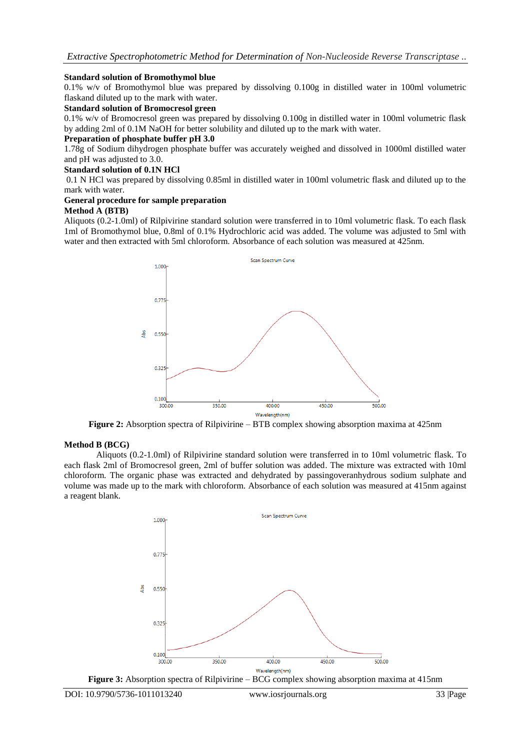### **Standard solution of Bromothymol blue**

0.1% w/v of Bromothymol blue was prepared by dissolving 0.100g in distilled water in 100ml volumetric flaskand diluted up to the mark with water.

### **Standard solution of Bromocresol green**

0.1% w/v of Bromocresol green was prepared by dissolving 0.100g in distilled water in 100ml volumetric flask by adding 2ml of 0.1M NaOH for better solubility and diluted up to the mark with water.

### **Preparation of phosphate buffer pH 3.0**

1.78g of Sodium dihydrogen phosphate buffer was accurately weighed and dissolved in 1000ml distilled water and pH was adjusted to 3.0.

### **Standard solution of 0.1N HCl**

0.1 N HCl was prepared by dissolving 0.85ml in distilled water in 100ml volumetric flask and diluted up to the mark with water.

#### **General procedure for sample preparation Method A (BTB)**

Aliquots (0.2-1.0ml) of Rilpivirine standard solution were transferred in to 10ml volumetric flask. To each flask 1ml of Bromothymol blue, 0.8ml of 0.1% Hydrochloric acid was added. The volume was adjusted to 5ml with water and then extracted with 5ml chloroform. Absorbance of each solution was measured at 425nm.



**Figure 2:** Absorption spectra of Rilpivirine – BTB complex showing absorption maxima at 425nm

### **Method B (BCG)**

Aliquots (0.2-1.0ml) of Rilpivirine standard solution were transferred in to 10ml volumetric flask. To each flask 2ml of Bromocresol green, 2ml of buffer solution was added. The mixture was extracted with 10ml chloroform. The organic phase was extracted and dehydrated by passingoveranhydrous sodium sulphate and volume was made up to the mark with chloroform. Absorbance of each solution was measured at 415nm against a reagent blank.



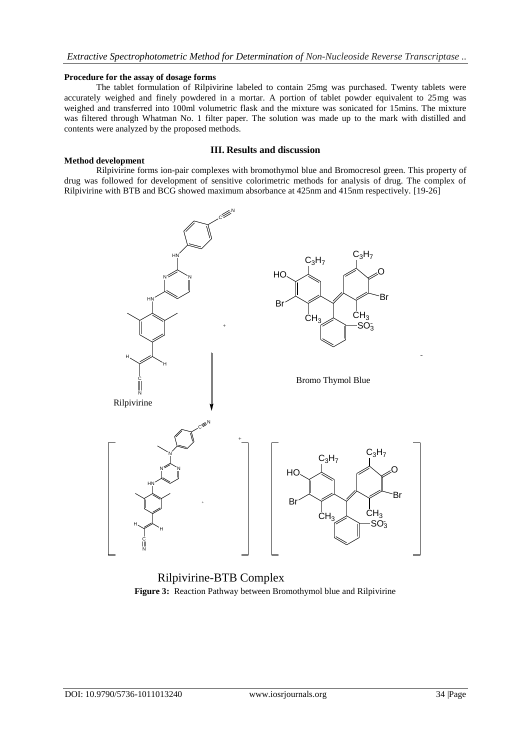### **Procedure for the assay of dosage forms**

The tablet formulation of Rilpivirine labeled to contain 25mg was purchased. Twenty tablets were accurately weighed and finely powdered in a mortar. A portion of tablet powder equivalent to 25mg was weighed and transferred into 100ml volumetric flask and the mixture was sonicated for 15mins. The mixture was filtered through Whatman No. 1 filter paper. The solution was made up to the mark with distilled and contents were analyzed by the proposed methods.

### **Method development**

### **III. Results and discussion**

Rilpivirine forms ion-pair complexes with bromothymol blue and Bromocresol green. This property of drug was followed for development of sensitive colorimetric methods for analysis of drug. The complex of Rilpivirine with BTB and BCG showed maximum absorbance at 425nm and 415nm respectively. [19-26]



Rilpivirine-BTB Complex **Figure 3:** Reaction Pathway between Bromothymol blue and Rilpivirine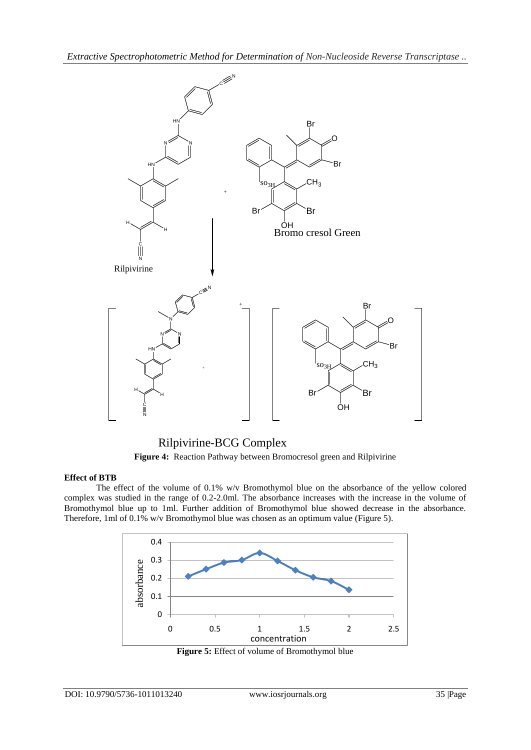

Rilpivirine-BCG Complex **Figure 4:** Reaction Pathway between Bromocresol green and Rilpivirine

### **Effect of BTB**

The effect of the volume of 0.1% w/v Bromothymol blue on the absorbance of the yellow colored complex was studied in the range of 0.2-2.0ml. The absorbance increases with the increase in the volume of Bromothymol blue up to 1ml. Further addition of Bromothymol blue showed decrease in the absorbance. Therefore, 1ml of 0.1% w/v Bromothymol blue was chosen as an optimum value (Figure 5).



**Figure 5:** Effect of volume of Bromothymol blue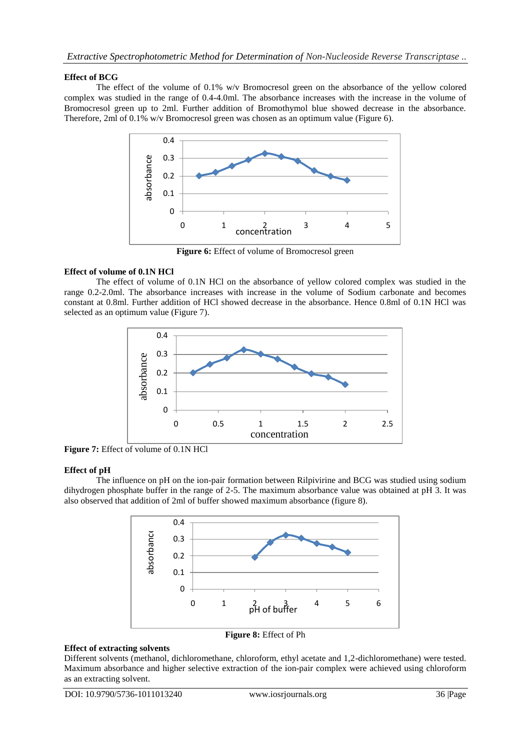### **Effect of BCG**

The effect of the volume of 0.1% w/v Bromocresol green on the absorbance of the yellow colored complex was studied in the range of 0.4-4.0ml. The absorbance increases with the increase in the volume of Bromocresol green up to 2ml. Further addition of Bromothymol blue showed decrease in the absorbance. Therefore, 2ml of 0.1% w/v Bromocresol green was chosen as an optimum value (Figure 6).



**Figure 6:** Effect of volume of Bromocresol green

# **Effect of volume of 0.1N HCl**

The effect of volume of 0.1N HCl on the absorbance of yellow colored complex was studied in the range 0.2-2.0ml. The absorbance increases with increase in the volume of Sodium carbonate and becomes constant at 0.8ml. Further addition of HCl showed decrease in the absorbance. Hence 0.8ml of 0.1N HCl was selected as an optimum value (Figure 7).



**Figure 7:** Effect of volume of 0.1N HCl

### **Effect of pH**

The influence on pH on the ion-pair formation between Rilpivirine and BCG was studied using sodium dihydrogen phosphate buffer in the range of 2-5. The maximum absorbance value was obtained at pH 3. It was also observed that addition of 2ml of buffer showed maximum absorbance (figure 8).



### **Effect of extracting solvents**

Different solvents (methanol, dichloromethane, chloroform, ethyl acetate and 1,2-dichloromethane) were tested. Maximum absorbance and higher selective extraction of the ion-pair complex were achieved using chloroform as an extracting solvent.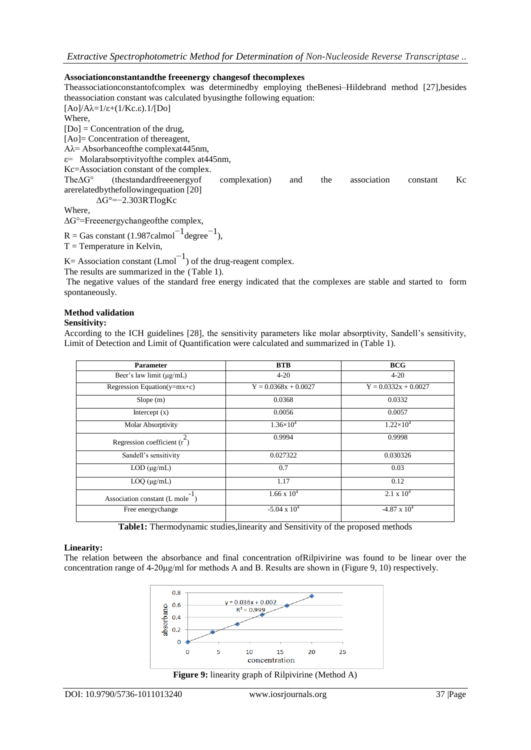### **Associationconstantandthe freeenergy changesof thecomplexes**

Theassociationconstantofcomplex was determinedby employing theBenesi–Hildebrand method [27],besides theassociation constant was calculated byusingthe following equation: [ $Ao$ ]/ $Aλ=1/ε+(1/Kc.\epsilon).1/[Do]$ Where,  $[D<sub>O</sub>] =$  Concentration of the drug, [Ao]= Concentration of thereagent, Aλ= Absorbanceofthe complexat445nm,  $\varepsilon$ = Molarabsorptivity of the complex at 445nm,

Kc=Association constant of the complex.

TheΔG° (thestandardfreeenergyof complexation) and the association constant Kc arerelatedbythefollowingequation [20] ΔG°=−2.303RTlogKc

Where,

ΔG°=Freeenergychangeofthe complex,

 $R =$  Gas constant (1.987calmol<sup>-1</sup> degree<sup>-1</sup>),  $T =$ Temperature in Kelvin,

K = Association constant  $(Lmol^{-1})$  of the drug-reagent complex.

The results are summarized in the (Table 1).

The negative values of the standard free energy indicated that the complexes are stable and started to form spontaneously.

### **Method validation**

### **Sensitivity:**

According to the ICH guidelines [28], the sensitivity parameters like molar absorptivity, Sandell's sensitivity, Limit of Detection and Limit of Quantification were calculated and summarized in (Table 1).

| <b>Parameter</b>                   | <b>BTB</b>             | <b>BCG</b>             |
|------------------------------------|------------------------|------------------------|
| Beer's law limit $(\mu g/mL)$      | $4 - 20$               | $4 - 20$               |
| Regression Equation(y=mx+c)        | $Y = 0.0368x + 0.0027$ | $Y = 0.0332x + 0.0027$ |
| Slope(m)                           | 0.0368                 | 0.0332                 |
| Intercept $(x)$                    | 0.0056                 | 0.0057                 |
| <b>Molar Absorptivity</b>          | $1.36\times10^{4}$     | $1.22\times10^{4}$     |
| 2<br>Regression coefficient $(r2)$ | 0.9994                 | 0.9998                 |
| Sandell's sensitivity              | 0.027322               | 0.030326               |
| $LOD$ ( $\mu$ g/mL)                | 0.7                    | 0.03                   |
| $LOQ$ ( $\mu$ g/mL)                | 1.17                   | 0.12                   |
| Association constant (L mole       | $1.66 \times 10^{4}$   | $2.1 \times 10^4$      |
| Free energychange                  | $-5.04 \times 10^4$    | $-4.87 \times 10^4$    |

**Table1:** Thermodynamic studies,linearity and Sensitivity of the proposed methods

### **Linearity:**

The relation between the absorbance and final concentration ofRilpivirine was found to be linear over the concentration range of 4-20μg/ml for methods A and B. Results are shown in (Figure 9, 10) respectively.



**Figure 9:** linearity graph of Rilpivirine (Method A)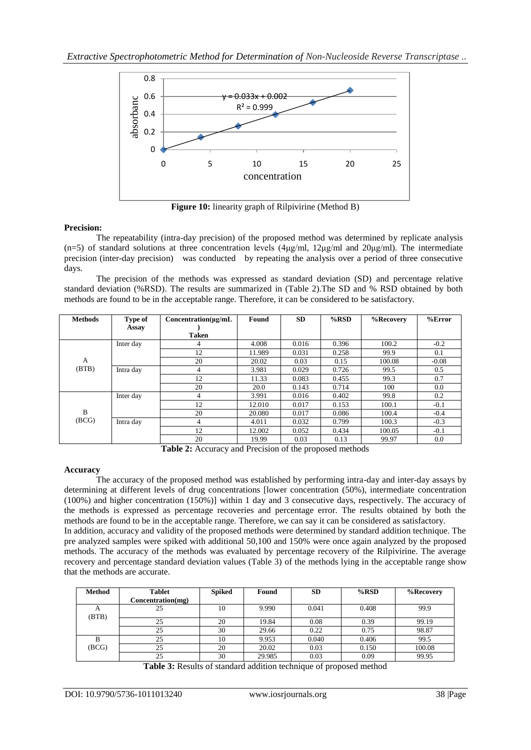

**Figure 10:** linearity graph of Rilpivirine (Method B)

### **Precision:**

The repeatability (intra-day precision) of the proposed method was determined by replicate analysis (n=5) of standard solutions at three concentration levels ( $4\mu\text{g/ml}$ ,  $12\mu\text{g/ml}$  and  $20\mu\text{g/ml}$ ). The intermediate precision (inter-day precision) was conducted by repeating the analysis over a period of three consecutive days.

The precision of the methods was expressed as standard deviation (SD) and percentage relative standard deviation (%RSD). The results are summarized in (Table 2).The SD and % RSD obtained by both methods are found to be in the acceptable range. Therefore, it can be considered to be satisfactory.

| <b>Methods</b> | Type of   | $Concentration(\mu g/mL)$ | Found  | <b>SD</b> | $%$ RSD | %Recovery | $%$ Error |
|----------------|-----------|---------------------------|--------|-----------|---------|-----------|-----------|
|                | Assay     |                           |        |           |         |           |           |
|                |           | <b>Taken</b>              |        |           |         |           |           |
|                | Inter day | 4                         | 4.008  | 0.016     | 0.396   | 100.2     | $-0.2$    |
|                |           | 12                        | 11.989 | 0.031     | 0.258   | 99.9      | 0.1       |
| A              |           | 20                        | 20.02  | 0.03      | 0.15    | 100.08    | $-0.08$   |
| (BTB)          | Intra day | 4                         | 3.981  | 0.029     | 0.726   | 99.5      | 0.5       |
|                |           | 12                        | 11.33  | 0.083     | 0.455   | 99.3      | 0.7       |
|                |           | 20                        | 20.0   | 0.143     | 0.714   | 100       | 0.0       |
|                | Inter day | 4                         | 3.991  | 0.016     | 0.402   | 99.8      | 0.2       |
| B<br>(BCG)     |           | 12                        | 12.010 | 0.017     | 0.153   | 100.1     | $-0.1$    |
|                |           | 20                        | 20.080 | 0.017     | 0.086   | 100.4     | $-0.4$    |
|                | Intra day | 4                         | 4.011  | 0.032     | 0.799   | 100.3     | $-0.3$    |
|                |           | 12                        | 12.002 | 0.052     | 0.434   | 100.05    | $-0.1$    |
|                |           | 20                        | 19.99  | 0.03      | 0.13    | 99.97     | 0.0       |

**Table 2:** Accuracy and Precision of the proposed methods

### **Accuracy**

The accuracy of the proposed method was established by performing intra-day and inter-day assays by determining at different levels of drug concentrations [lower concentration (50%), intermediate concentration (100%) and higher concentration (150%)] within 1 day and 3 consecutive days, respectively. The accuracy of the methods is expressed as percentage recoveries and percentage error. The results obtained by both the methods are found to be in the acceptable range. Therefore, we can say it can be considered as satisfactory. In addition, accuracy and validity of the proposed methods were determined by standard addition technique. The pre analyzed samples were spiked with additional 50,100 and 150% were once again analyzed by the proposed methods. The accuracy of the methods was evaluated by percentage recovery of the Rilpivirine. The average recovery and percentage standard deviation values (Table 3) of the methods lying in the acceptable range show that the methods are accurate.

| <b>Method</b> | <b>Tablet</b>     | <b>Spiked</b> | Found  | <b>SD</b> | $%$ RSD | %Recovery |
|---------------|-------------------|---------------|--------|-----------|---------|-----------|
|               | Concentration(mg) |               |        |           |         |           |
| A<br>(BTB)    | 25                | 10            | 9.990  | 0.041     | 0.408   | 99.9      |
|               | 25                | 20            | 19.84  | 0.08      | 0.39    | 99.19     |
|               | 25                | 30            | 29.66  | 0.22      | 0.75    | 98.87     |
| B             | 25                | 10            | 9.953  | 0.040     | 0.406   | 99.5      |
| (BCG)         | 25                | 20            | 20.02  | 0.03      | 0.150   | 100.08    |
|               | 25                | 30            | 29.985 | 0.03      | 0.09    | 99.95     |

**Table 3:** Results of standard addition technique of proposed method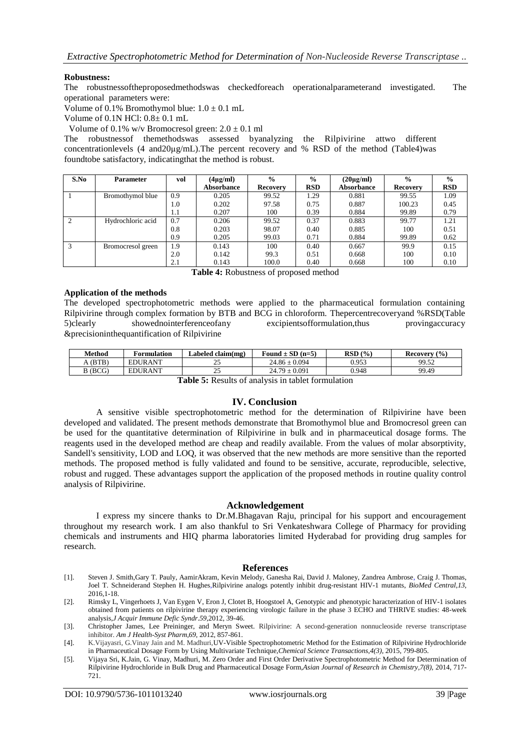### **Robustness:**

The robustnessoftheproposedmethodswas checkedforeach operationalparameterand investigated. The operational parameters were:

Volume of 0.1% Bromothymol blue:  $1.0 \pm 0.1$  mL

Volume of 0.1N HCl: 0.8± 0.1 mL

Volume of 0.1% w/v Bromocresol green:  $2.0 \pm 0.1$  ml

The robustnessof themethodswas assessed byanalyzing the Rilpivirine attwo different concentrationlevels (4 and20μg/mL).The percent recovery and % RSD of the method (Table4)was foundtobe satisfactory, indicatingthat the method is robust.

| S.No | <b>Parameter</b>  | vol | $(4\mu g/ml)$ | $\frac{6}{9}$   | $\frac{6}{6}$ | $(20\mu\text{g/ml})$ | $\frac{0}{0}$   | $\frac{0}{0}$ |
|------|-------------------|-----|---------------|-----------------|---------------|----------------------|-----------------|---------------|
|      |                   |     | Absorbance    | <b>Recovery</b> | <b>RSD</b>    | Absorbance           | <b>Recovery</b> | <b>RSD</b>    |
|      | Bromothymol blue  | 0.9 | 0.205         | 99.52           | 1.29          | 0.881                | 99.55           | 1.09          |
|      |                   | 1.0 | 0.202         | 97.58           | 0.75          | 0.887                | 100.23          | 0.45          |
|      |                   | 1.1 | 0.207         | 100             | 0.39          | 0.884                | 99.89           | 0.79          |
|      | Hydrochloric acid | 0.7 | 0.206         | 99.52           | 0.37          | 0.883                | 99.77           | 1.21          |
|      |                   | 0.8 | 0.203         | 98.07           | 0.40          | 0.885                | 100             | 0.51          |
|      |                   | 0.9 | 0.205         | 99.03           | 0.71          | 0.884                | 99.89           | 0.62          |
|      | Bromocresol green | 1.9 | 0.143         | 100             | 0.40          | 0.667                | 99.9            | 0.15          |
|      |                   | 2.0 | 0.142         | 99.3            | 0.51          | 0.668                | 100             | 0.10          |
|      |                   | 2.1 | 0.143         | 100.0           | 0.40          | 0.668                | 100             | 0.10          |

**Table 4:** Robustness of proposed method

### **Application of the methods**

The developed spectrophotometric methods were applied to the pharmaceutical formulation containing Rilpivirine through complex formation by BTB and BCG in chloroform. Thepercentrecoveryand %RSD(Table 5)clearly showednointerferenceofany excipientsofformulation,thus provingaccuracy &precisioninthequantification of Rilpivirine

| Method                 | Formulation    | Labeled claim(mg) | Found $\pm$ SD (n=5) | RSD(%) | (9/0)<br><b>Recovery</b> |  |  |
|------------------------|----------------|-------------------|----------------------|--------|--------------------------|--|--|
| A (BTB)                | <b>EDURANT</b> | 25                | $24.86 \pm 0.094$    | 0.953  | 99.52                    |  |  |
| B (BCG)                | <b>EDURANT</b> | つく<br>ل ک         | $24.79 + 0.091$      | 0.948  | 99.49                    |  |  |
| muren 1. c 1. 11. c 1. |                |                   |                      |        |                          |  |  |

**Table 5:** Results of analysis in tablet formulation

### **IV. Conclusion**

A sensitive visible spectrophotometric method for the determination of Rilpivirine have been developed and validated. The present methods demonstrate that Bromothymol blue and Bromocresol green can be used for the quantitative determination of Rilpivirine in bulk and in pharmaceutical dosage forms. The reagents used in the developed method are cheap and readily available. From the values of molar absorptivity, Sandell's sensitivity, LOD and LOQ, it was observed that the new methods are more sensitive than the reported methods. The proposed method is fully validated and found to be sensitive, accurate, reproducible, selective, robust and rugged. These advantages support the application of the proposed methods in routine quality control analysis of Rilpivirine.

### **Acknowledgement**

I express my sincere thanks to Dr.M.Bhagavan Raju, principal for his support and encouragement throughout my research work. I am also thankful to Sri Venkateshwara College of Pharmacy for providing chemicals and instruments and HIQ pharma laboratories limited Hyderabad for providing drug samples for research.

### **References**

- [1]. Steven J. Smith,Gary T. Pauly, AamirAkram, Kevin Melody, Ganesha Rai, David J. Maloney, Zandrea Ambrose, Craig J. Thomas, Joel T. Schneiderand Stephen H. Hughes,Rilpivirine analogs potently inhibit drug-resistant HIV-1 mutants, *BioMed Central*,*13,* 2016,1-18.
- [2]. Rimsky L, Vingerhoets J, Van Eygen V, Eron J, Clotet B, Hoogstoel A, Genotypic and phenotypic haracterization of HIV-1 isolates obtained from patients on rilpivirine therapy experiencing virologic failure in the phase 3 ECHO and THRIVE studies: 48-week analysis,*J Acquir Immune Defic Syndr*.*59,*2012, 39-46.

- [4]. K.Vijayasri, G.Vinay Jain and M. Madhuri,UV-Visible Spectrophotometric Method for the Estimation of Rilpivirine Hydrochloride in Pharmaceutical Dosage Form by Using Multivariate Technique,*Chemical Science Transactions,4(3),* 2015, 799-805.
- [5]. Vijaya Sri, K.Jain, G. Vinay, Madhuri, M. Zero Order and First Order Derivative Spectrophotometric Method for Determination of Rilpivirine Hydrochloride in Bulk Drug and Pharmaceutical Dosage Form,*Asian Journal of Research in Chemistry,7(8),* 2014, 717- 721.

<sup>[3].</sup> Christopher James, Lee Preininger, and Meryn Sweet. Rilpivirine: A second-generation nonnucleoside reverse transcriptase inhibitor. *Am J Health-Syst Pharm,69*, 2012, 857-861.